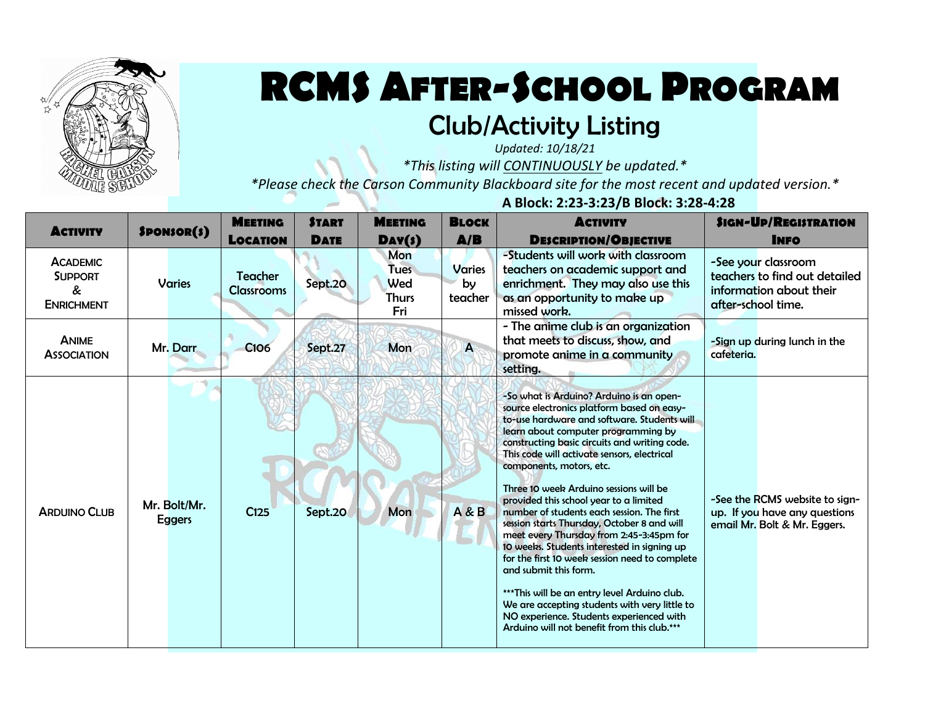

## **RCMS AFTER-SCHOOL PROGRAM**

## Club/Activity Listing

*Updated: 10/18/21*

*\*This listing will CONTINUOUSLY be updated.\**

*\*Please check the Carson Community Blackboard site for the most recent and updated version.\**

 **A Block: 2:23-3:23/B Block: 3:28-4:28**

| <b>ACTIVITY</b>                                             | SPON5OR(s)                    | <b>MEETING</b><br><b>LOCATION</b>   | <b>START</b><br><b>DATE</b> | <b>MEETING</b><br>$\mathbf{Day}(s)$              | <b>BLOCK</b><br>A/B            | <b>ACTIVITY</b><br><b>DESCRIPTION/OBJECTIVE</b>                                                                                                                                                                                                                                                                                                                                                                                                                                                                                                                                                                                                                                                                                                                                                                                                              | <b>SIGN-UP/REGISTRATION</b><br><b>INFO</b>                                                            |
|-------------------------------------------------------------|-------------------------------|-------------------------------------|-----------------------------|--------------------------------------------------|--------------------------------|--------------------------------------------------------------------------------------------------------------------------------------------------------------------------------------------------------------------------------------------------------------------------------------------------------------------------------------------------------------------------------------------------------------------------------------------------------------------------------------------------------------------------------------------------------------------------------------------------------------------------------------------------------------------------------------------------------------------------------------------------------------------------------------------------------------------------------------------------------------|-------------------------------------------------------------------------------------------------------|
| <b>ACADEMIC</b><br><b>SUPPORT</b><br>&<br><b>ENRICHMENT</b> | <b>Varies</b>                 | <b>Teacher</b><br><b>Classrooms</b> | Sept.20                     | Mon<br><b>Tues</b><br>Wed<br><b>Thurs</b><br>Fri | <b>Varies</b><br>by<br>teacher | -Students will work with classroom<br>teachers on academic support and<br>enrichment. They may also use this<br>as an opportunity to make up<br>missed work.                                                                                                                                                                                                                                                                                                                                                                                                                                                                                                                                                                                                                                                                                                 | -See your classroom<br>teachers to find out detailed<br>information about their<br>after-school time. |
| <b>ANIME</b><br><b>ASSOCIATION</b>                          | Mr. Darr                      | <b>C106</b>                         | Sept.27                     | Mon                                              | A                              | - The anime club is an organization<br>that meets to discuss, show, and<br>promote anime in a community<br>setting.                                                                                                                                                                                                                                                                                                                                                                                                                                                                                                                                                                                                                                                                                                                                          | -Sign up during lunch in the<br>cafeteria.                                                            |
| <b>ARDUINO CLUB</b>                                         | Mr. Bolt/Mr.<br><b>Eggers</b> | C125                                | Sept.20                     | Mon                                              | A & B                          | -So what is Arduino? Arduino is an open-<br>source electronics platform based on easy-<br>to-use hardware and software. Students will<br>learn about computer programming by<br>constructing basic circuits and writing code.<br>This code will activate sensors, electrical<br>components, motors, etc.<br>Three 10 week Arduino sessions will be<br>provided this school year to a limited<br>number of students each session. The first<br>session starts Thursday, October 8 and will<br>meet every Thursday from 2:45-3:45pm for<br>10 weeks. Students interested in signing up<br>for the first 10 week session need to complete<br>and submit this form.<br>*** This will be an entry level Arduino club.<br>We are accepting students with very little to<br>NO experience. Students experienced with<br>Arduino will not benefit from this club.*** | -See the RCMS website to sign-<br>up. If you have any questions<br>email Mr. Bolt & Mr. Eggers.       |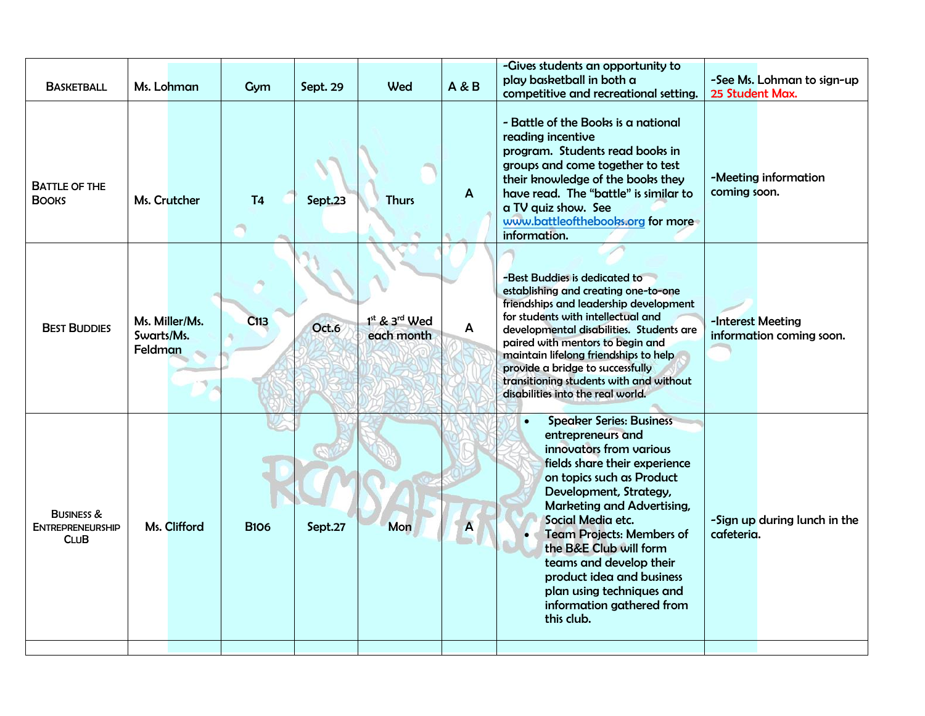| <b>BASKETBALL</b>                                               | Ms. Lohman                              | Gym            | Sept. 29 | Wed                             | A & B        | -Gives students an opportunity to<br>play basketball in both a<br>competitive and recreational setting.                                                                                                                                                                                                                                                                                                                               | 25 Student Max.   | -See Ms. Lohman to sign-up   |
|-----------------------------------------------------------------|-----------------------------------------|----------------|----------|---------------------------------|--------------|---------------------------------------------------------------------------------------------------------------------------------------------------------------------------------------------------------------------------------------------------------------------------------------------------------------------------------------------------------------------------------------------------------------------------------------|-------------------|------------------------------|
| <b>BATTLE OF THE</b><br><b>BOOKS</b>                            | Ms. Crutcher                            | T <sub>4</sub> | Sept.23  | <b>Thurs</b>                    | $\mathbf{A}$ | - Battle of the Books is a national<br>reading incentive<br>program. Students read books in<br>groups and come together to test<br>their knowledge of the books they<br>have read. The "battle" is similar to<br>a TV quiz show. See<br>www.battleofthebooks.org for more<br>information.                                                                                                                                             | coming soon.      | -Meeting information         |
| <b>BEST BUDDIES</b>                                             | Ms. Miller/Ms.<br>Swarts/Ms.<br>Feldman | C113           | Oct.6    | $1st$ & $3rd$ Wed<br>each month | $\mathsf{A}$ | -Best Buddies is dedicated to<br>establishing and creating one-to-one<br>friendships and leadership development<br>for students with intellectual and<br>developmental disabilities. Students are<br>paired with mentors to begin and<br>maintain lifelong friendships to help<br>provide a bridge to successfully<br>transitioning students with and without<br>disabilities into the real world.                                    | -Interest Meeting | information coming soon.     |
| <b>BUSINESS &amp;</b><br><b>ENTREPRENEURSHIP</b><br><b>CLUB</b> | Ms. Clifford                            | <b>B106</b>    | Sept.27  | Mon                             | A            | <b>Speaker Series: Business</b><br>$\bullet$<br>entrepreneurs and<br>innovators from various<br>fields share their experience<br>on topics such as Product<br>Development, Strategy,<br>Marketing and Advertising,<br>Social Media etc.<br><b>Team Projects: Members of</b><br>the B&E Club will form<br>teams and develop their<br>product idea and business<br>plan using techniques and<br>information gathered from<br>this club. | cafeteria.        | -Sign up during lunch in the |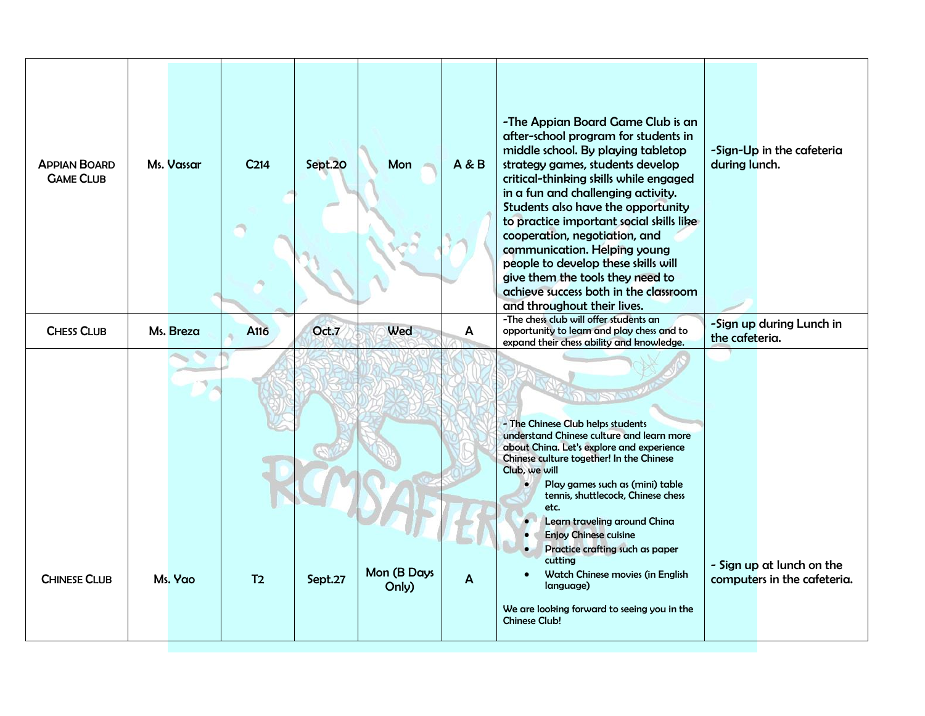| <b>APPIAN BOARD</b><br><b>GAME CLUB</b> | Ms. Vassar | C <sub>214</sub> | Sept.20 | Mon                  | <b>A&amp;B</b> | -The Appian Board Game Club is an<br>after-school program for students in<br>middle school. By playing tabletop<br>strategy games, students develop<br>critical-thinking skills while engaged<br>in a fun and challenging activity.<br>Students also have the opportunity<br>to practice important social skills like<br>cooperation, negotiation, and<br>communication. Helping young<br>people to develop these skills will<br>give them the tools they need to<br>achieve success both in the classroom<br>and throughout their lives. | -Sign-Up in the cafeteria<br>during lunch.               |
|-----------------------------------------|------------|------------------|---------|----------------------|----------------|-------------------------------------------------------------------------------------------------------------------------------------------------------------------------------------------------------------------------------------------------------------------------------------------------------------------------------------------------------------------------------------------------------------------------------------------------------------------------------------------------------------------------------------------|----------------------------------------------------------|
| <b>CHESS CLUB</b>                       | Ms. Breza  | A <sub>116</sub> | Oct.7   | Wed                  | A              | -The chess club will offer students an<br>opportunity to learn and play chess and to<br>expand their chess ability and knowledge.                                                                                                                                                                                                                                                                                                                                                                                                         | -Sign up during Lunch in<br>the cafeteria.               |
| <b>CHINESE CLUB</b>                     | Ms. Yao    | T <sub>2</sub>   | Sept.27 | Mon (B Days<br>Only) | A              | - The Chinese Club helps students<br>understand Chinese culture and learn more<br>about China. Let's explore and experience<br>Chinese culture together! In the Chinese<br>Club, we will<br>Play games such as (mini) table<br>$\bullet$<br>tennis, shuttlecock, Chinese chess<br>etc.<br>Learn traveling around China<br><b>Enjoy Chinese cuisine</b><br>$\bullet$<br>Practice crafting such as paper<br>cutting<br>Watch Chinese movies (in English<br>language)<br>We are looking forward to seeing you in the<br><b>Chinese Club!</b> | - Sign up at lunch on the<br>computers in the cafeteria. |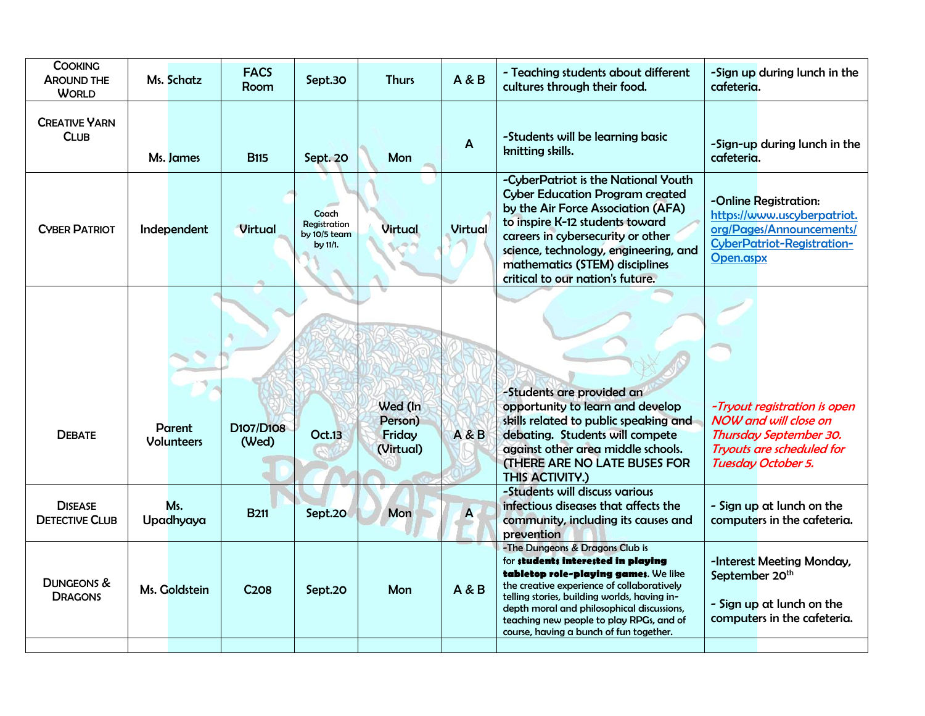| Ms. Schatz                         | <b>FACS</b><br>Room | Sept.30                                           | <b>Thurs</b>                              | <b>A &amp; B</b> | - Teaching students about different<br>cultures through their food.                                                                                                                                                                                                                                                                              | -Sign up during lunch in the<br>cafeteria.                                                                                                |
|------------------------------------|---------------------|---------------------------------------------------|-------------------------------------------|------------------|--------------------------------------------------------------------------------------------------------------------------------------------------------------------------------------------------------------------------------------------------------------------------------------------------------------------------------------------------|-------------------------------------------------------------------------------------------------------------------------------------------|
| Ms. James                          | <b>B115</b>         | Sept. 20                                          | Mon                                       | $\overline{A}$   | -Students will be learning basic<br>knitting skills.                                                                                                                                                                                                                                                                                             | -Sign-up during lunch in the<br>cafeteria.                                                                                                |
| Independent                        | <b>Virtual</b>      | Coach<br>Registration<br>by 10/5 team<br>by 11/1. | <b>Virtual</b>                            | <b>Virtual</b>   | -CyberPatriot is the National Youth<br><b>Cyber Education Program created</b><br>by the Air Force Association (AFA)<br>to inspire K-12 students toward<br>careers in cybersecurity or other<br>science, technology, engineering, and<br>mathematics (STEM) disciplines<br>critical to our nation's future.                                       | -Online Registration:<br>https://www.uscyberpatriot.<br>org/Pages/Announcements/<br>CyberPatriot-Registration-<br>Open.aspx               |
|                                    |                     |                                                   |                                           |                  |                                                                                                                                                                                                                                                                                                                                                  |                                                                                                                                           |
| <b>Parent</b><br><b>Volunteers</b> | D107/D108<br>(Wed)  | <b>Oct.13</b>                                     | Wed (In<br>Person)<br>Friday<br>(Virtual) | <b>A&amp;B</b>   | -Students are provided an<br>opportunity to learn and develop<br>skills related to public speaking and<br>debating. Students will compete<br>against other area middle schools.<br>(THERE ARE NO LATE BUSES FOR<br>THIS ACTIVITY.)                                                                                                               | -Tryout registration is open<br><b>NOW and will close on</b><br>Thursday September 30.<br>Tryouts are scheduled for<br>Tuesday October 5. |
| Ms.<br>Upadhyaya                   | <b>B211</b>         | Sept.20                                           | Mon                                       | A                | -Students will discuss various<br>infectious diseases that affects the<br>community, including its causes and<br>prevention                                                                                                                                                                                                                      | - Sign up at lunch on the<br>computers in the cafeteria.                                                                                  |
| Ms. Goldstein                      | C <sub>208</sub>    | Sept.20                                           | Mon                                       | <b>A&amp;B</b>   | -The Dungeons & Dragons Club is<br>for students interested in playing<br>tabletop role-playing games. We like<br>the creative experience of collaboratively<br>telling stories, building worlds, having in-<br>depth moral and philosophical discussions,<br>teaching new people to play RPGs, and of<br>course, having a bunch of fun together. | -Interest Meeting Monday,<br>September 20 <sup>th</sup><br>- Sign up at lunch on the<br>computers in the cafeteria.                       |
|                                    |                     |                                                   |                                           |                  |                                                                                                                                                                                                                                                                                                                                                  |                                                                                                                                           |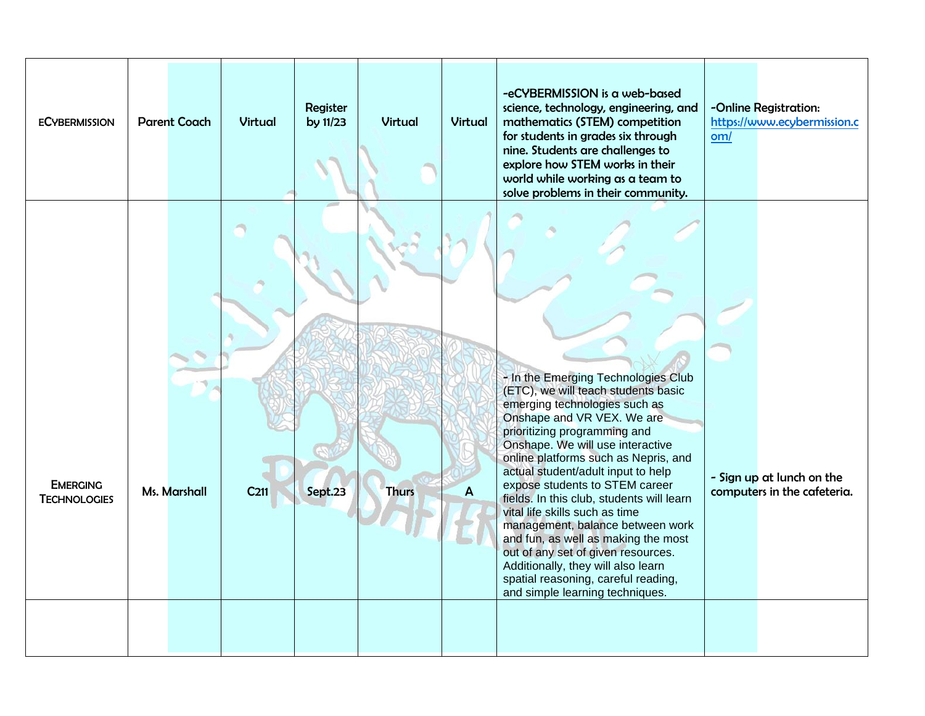| <b>ECYBERMISSION</b>                   | <b>Parent Coach</b> | <b>Virtual</b>   | Register<br>by 11/23 | <b>Virtual</b> | <b>Virtual</b> | -eCYBERMISSION is a web-based<br>science, technology, engineering, and<br>mathematics (STEM) competition<br>for students in grades six through<br>nine. Students are challenges to<br>explore how STEM works in their<br>world while working as a team to<br>solve problems in their community.                                                                                                                                                                                                                                                                                                                                               | -Online Registration:<br>https://www.ecybermission.c<br>om/ |
|----------------------------------------|---------------------|------------------|----------------------|----------------|----------------|-----------------------------------------------------------------------------------------------------------------------------------------------------------------------------------------------------------------------------------------------------------------------------------------------------------------------------------------------------------------------------------------------------------------------------------------------------------------------------------------------------------------------------------------------------------------------------------------------------------------------------------------------|-------------------------------------------------------------|
| <b>EMERGING</b><br><b>TECHNOLOGIES</b> | Ms. Marshall        | C <sub>211</sub> | Sept.23              | <b>Thurs</b>   | A              | - In the Emerging Technologies Club<br>(ETC), we will teach students basic<br>emerging technologies such as<br>Onshape and VR VEX. We are<br>prioritizing programming and<br>Onshape. We will use interactive<br>online platforms such as Nepris, and<br>actual student/adult input to help<br>expose students to STEM career<br>fields. In this club, students will learn<br>vital life skills such as time<br>management, balance between work<br>and fun, as well as making the most<br>out of any set of given resources.<br>Additionally, they will also learn<br>spatial reasoning, careful reading,<br>and simple learning techniques. | - Sign up at lunch on the<br>computers in the cafeteria.    |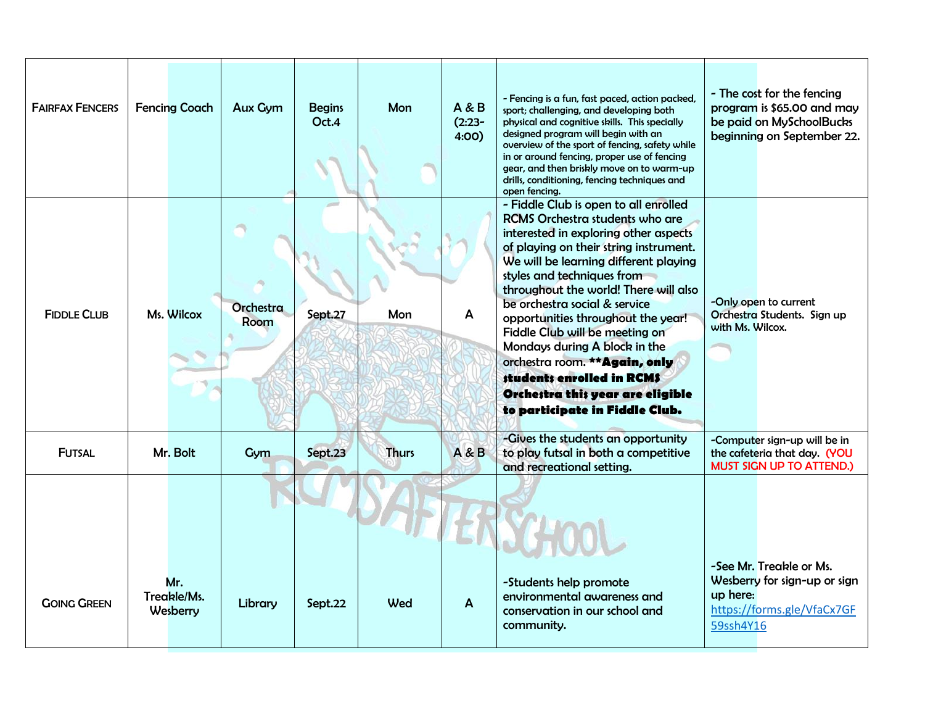| <b>FAIRFAX FENCERS</b> | <b>Fencing Coach</b>           | <b>Aux Gym</b>    | <b>Begins</b><br>Oct.4 | Mon          | A & B<br>$(2:23-$<br>4:00) | - Fencing is a fun, fast paced, action packed,<br>sport; challenging, and developing both<br>physical and cognitive skills. This specially<br>designed program will begin with an<br>overview of the sport of fencing, safety while<br>in or around fencing, proper use of fencing<br>gear, and then briskly move on to warm-up<br>drills, conditioning, fencing techniques and<br>open fencing.                                                                                                                                                            | - The cost for the fencing<br>program is \$65.00 and may<br>be paid on MySchoolBucks<br>beginning on September 22. |
|------------------------|--------------------------------|-------------------|------------------------|--------------|----------------------------|-------------------------------------------------------------------------------------------------------------------------------------------------------------------------------------------------------------------------------------------------------------------------------------------------------------------------------------------------------------------------------------------------------------------------------------------------------------------------------------------------------------------------------------------------------------|--------------------------------------------------------------------------------------------------------------------|
| <b>FIDDLE CLUB</b>     | Ms. Wilcox                     | Orchestra<br>Room | Sept.27                | Mon          | A                          | - Fiddle Club is open to all enrolled<br>RCMS Orchestra students who are<br>interested in exploring other aspects<br>of playing on their string instrument.<br>We will be learning different playing<br>styles and techniques from<br>throughout the world! There will also<br>be orchestra social & service<br>opportunities throughout the year!<br>Fiddle Club will be meeting on<br>Mondays during A block in the<br>orchestra room. ** Again, only<br>students enrolled in RCM\$<br>Orchestra this year are eligible<br>to participate in Fiddle Club. | -Only open to current<br>Orchestra Students. Sign up<br>with Ms. Wilcox.                                           |
| <b>FUTSAL</b>          | Mr. Bolt                       | Gym               | Sept.23                | <b>Thurs</b> | <b>A&amp;B</b>             | -Gives the students an opportunity<br>to play futsal in both a competitive<br>and recreational setting.                                                                                                                                                                                                                                                                                                                                                                                                                                                     | -Computer sign-up will be in<br>the cafeteria that day. (YOU<br><b>MUST SIGN UP TO ATTEND.)</b>                    |
| <b>GOING GREEN</b>     | Mr.<br>Treakle/Ms.<br>Wesberry | Library           | Sept.22                | Wed          | $\mathsf{A}$               | -Students help promote<br>environmental awareness and<br>conservation in our school and<br>community.                                                                                                                                                                                                                                                                                                                                                                                                                                                       | -See Mr. Treakle or Ms.<br>Wesberry for sign-up or sign<br>up here:<br>https://forms.gle/VfaCx7GF<br>59ssh4Y16     |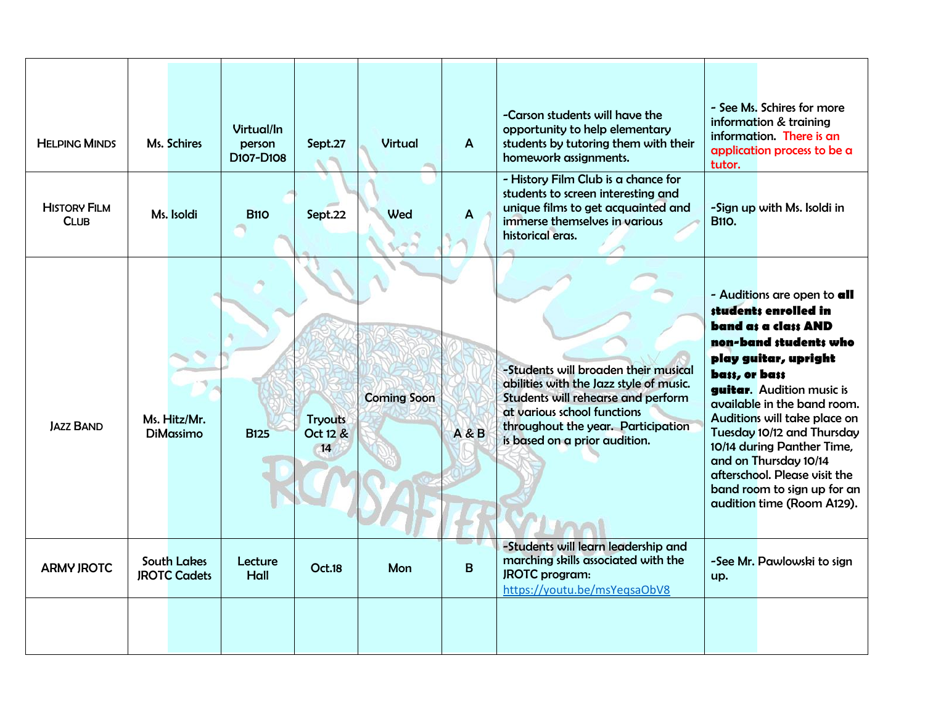| <b>HELPING MINDS</b>               | Ms. Schires                               | Virtual/In<br>person<br>D <sub>107</sub> -D <sub>108</sub> | Sept.27                          | Virtual            | $\overline{A}$ | -Carson students will have the<br>opportunity to help elementary<br>students by tutoring them with their<br>homework assignments.                                                                                           | - See Ms. Schires for more<br>information & training<br>information. There is an<br>application process to be a<br>tutor.                                                                                                                                                                                                                                                                                                          |
|------------------------------------|-------------------------------------------|------------------------------------------------------------|----------------------------------|--------------------|----------------|-----------------------------------------------------------------------------------------------------------------------------------------------------------------------------------------------------------------------------|------------------------------------------------------------------------------------------------------------------------------------------------------------------------------------------------------------------------------------------------------------------------------------------------------------------------------------------------------------------------------------------------------------------------------------|
| <b>HISTORY FILM</b><br><b>CLUB</b> | Ms. Isoldi                                | <b>B110</b>                                                | Sept.22                          | Wed                | A              | - History Film Club is a chance for<br>students to screen interesting and<br>unique films to get acquainted and<br>immerse themselves in various<br>historical eras.                                                        | -Sign up with Ms. Isoldi in<br><b>B110.</b>                                                                                                                                                                                                                                                                                                                                                                                        |
| <b>JAZZ BAND</b>                   | Ms. Hitz/Mr.<br>DiMassimo                 | <b>B125</b>                                                | <b>Tryouts</b><br>Oct 12 &<br>14 | <b>Coming Soon</b> | A & B          | -Students will broaden their musical<br>abilities with the Jazz style of music.<br>Students will rehearse and perform<br>at various school functions<br>throughout the year. Participation<br>is based on a prior audition. | - Auditions are open to all<br>students enrolled in<br>band as a class AND<br>non-band students who<br>play guitar, upright<br>bass, or bass<br><b>guitar.</b> Audition music is<br>available in the band room.<br>Auditions will take place on<br>Tuesday 10/12 and Thursday<br>10/14 during Panther Time,<br>and on Thursday 10/14<br>afterschool. Please visit the<br>band room to sign up for an<br>audition time (Room A129). |
| <b>ARMY JROTC</b>                  | <b>South Lakes</b><br><b>JROTC Cadets</b> | Lecture<br>Hall                                            | <b>Oct.18</b>                    | Mon                | B              | -Students will learn leadership and<br>marching skills associated with the<br><b>JROTC</b> program:<br>https://youtu.be/msYeqsaObV8                                                                                         | -See Mr. Pawlowski to sign<br>up.                                                                                                                                                                                                                                                                                                                                                                                                  |
|                                    |                                           |                                                            |                                  |                    |                |                                                                                                                                                                                                                             |                                                                                                                                                                                                                                                                                                                                                                                                                                    |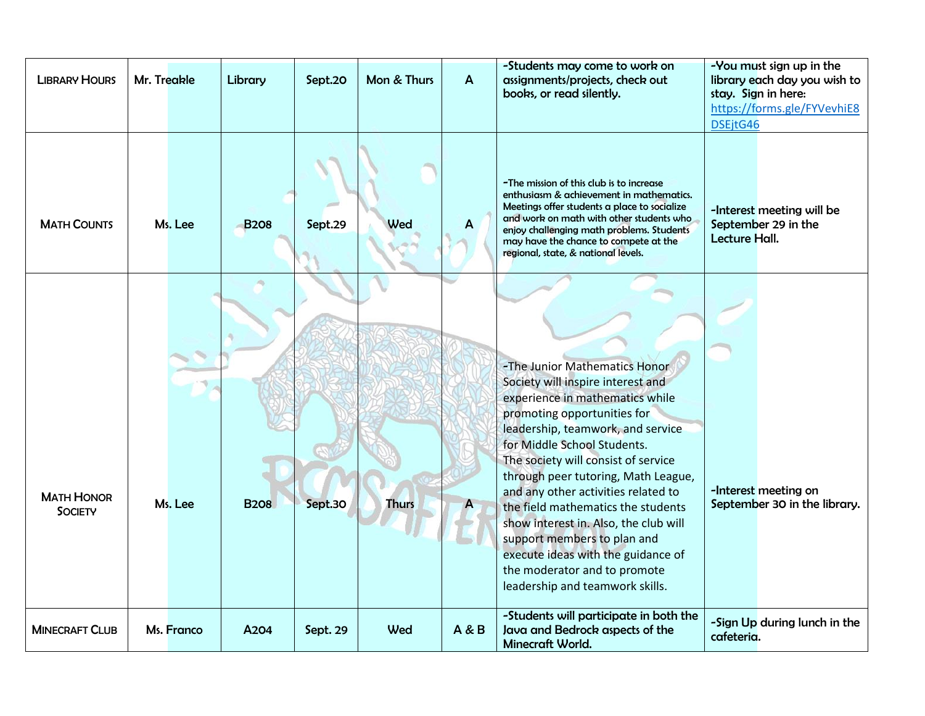| <b>LIBRARY HOURS</b>                | Mr. Treakle |            | Library     | Sept.20  | Mon & Thurs  | $\boldsymbol{A}$ | -Students may come to work on<br>assignments/projects, check out<br>books, or read silently.                                                                                                                                                                                                                                                                                                                                                                                                                                                         | -You must sign up in the<br>library each day you wish to<br>stay. Sign in here:<br>https://forms.gle/FYVevhiE8<br>DSEjtG46 |
|-------------------------------------|-------------|------------|-------------|----------|--------------|------------------|------------------------------------------------------------------------------------------------------------------------------------------------------------------------------------------------------------------------------------------------------------------------------------------------------------------------------------------------------------------------------------------------------------------------------------------------------------------------------------------------------------------------------------------------------|----------------------------------------------------------------------------------------------------------------------------|
| <b>MATH COUNTS</b>                  |             | Ms. Lee    | <b>B208</b> | Sept.29  | Wed          | A                | -The mission of this club is to increase<br>enthusiasm & achievement in mathematics.<br>Meetings offer students a place to socialize<br>and work on math with other students who<br>enjoy challenging math problems. Students<br>may have the chance to compete at the<br>regional, state, & national levels.                                                                                                                                                                                                                                        | -Interest meeting will be<br>September 29 in the<br>Lecture Hall.                                                          |
| <b>MATH HONOR</b><br><b>SOCIETY</b> |             | Ms. Lee    | <b>B208</b> | Sept.30  | <b>Thurs</b> | A                | -The Junior Mathematics Honor<br>Society will inspire interest and<br>experience in mathematics while<br>promoting opportunities for<br>leadership, teamwork, and service<br>for Middle School Students.<br>The society will consist of service<br>through peer tutoring, Math League,<br>and any other activities related to<br>the field mathematics the students<br>show interest in. Also, the club will<br>support members to plan and<br>execute ideas with the guidance of<br>the moderator and to promote<br>leadership and teamwork skills. | -Interest meeting on<br>September 30 in the library.                                                                       |
| <b>MINECRAFT CLUB</b>               |             | Ms. Franco | A204        | Sept. 29 | Wed          | A & B            | -Students will participate in both the<br>Java and Bedrock aspects of the<br>Minecraft World.                                                                                                                                                                                                                                                                                                                                                                                                                                                        | -Sign Up during lunch in the<br>cafeteria.                                                                                 |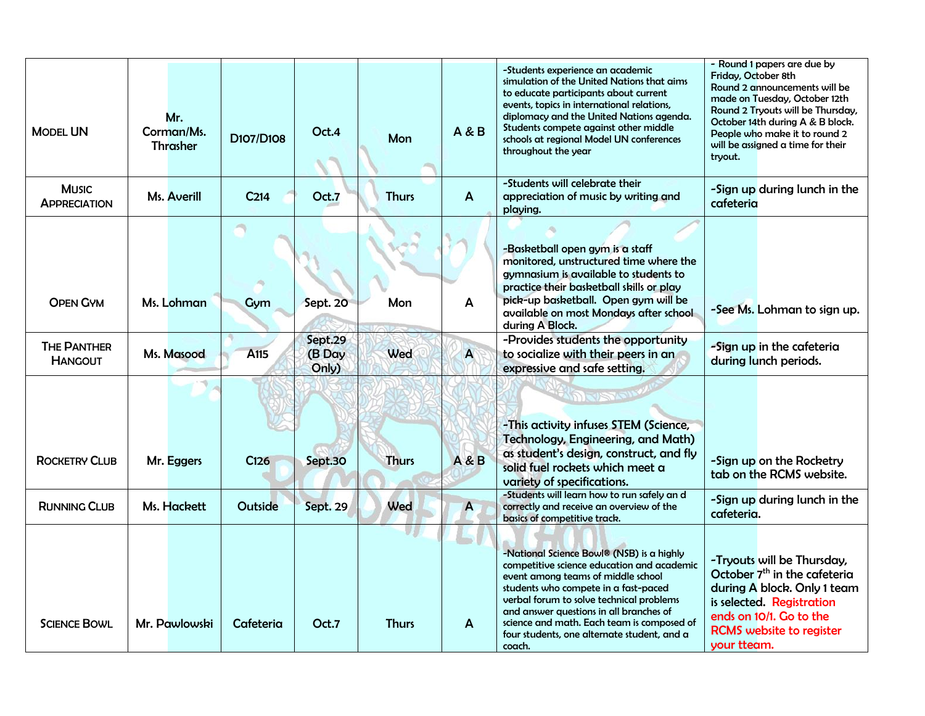| <b>MODEL UN</b>                      | Mr.<br>Corman/Ms.<br><b>Thrasher</b> | D107/D108        | Oct.4                      | Mon          | A & B          | -Students experience an academic<br>simulation of the United Nations that aims<br>to educate participants about current<br>events, topics in international relations,<br>diplomacy and the United Nations agenda.<br>Students compete against other middle<br>schools at regional Model UN conferences<br>throughout the year                                       | - Round 1 papers are due by<br>Friday, October 8th<br>Round 2 announcements will be<br>made on Tuesday, October 12th<br>Round 2 Tryouts will be Thursday,<br>October 14th during A & B block.<br>People who make it to round 2<br>will be assigned a time for their<br>trvout. |
|--------------------------------------|--------------------------------------|------------------|----------------------------|--------------|----------------|---------------------------------------------------------------------------------------------------------------------------------------------------------------------------------------------------------------------------------------------------------------------------------------------------------------------------------------------------------------------|--------------------------------------------------------------------------------------------------------------------------------------------------------------------------------------------------------------------------------------------------------------------------------|
| <b>MUSIC</b><br><b>APPRECIATION</b>  | Ms. Averill                          | C <sub>214</sub> | Oct.7                      | <b>Thurs</b> | $\mathbf{A}$   | -Students will celebrate their<br>appreciation of music by writing and<br>playing.                                                                                                                                                                                                                                                                                  | -Sign up during lunch in the<br>cafeteria                                                                                                                                                                                                                                      |
| <b>OPEN GYM</b>                      | Ms. Lohman                           | Gym              | Sept. 20                   | Mon          | A              | -Basketball open gym is a staff<br>monitored, unstructured time where the<br>gymnasium is available to students to<br>practice their basketball skills or play<br>pick-up basketball. Open gym will be<br>available on most Mondays after school<br>during A Block.                                                                                                 | -See Ms. Lohman to sign up.                                                                                                                                                                                                                                                    |
| <b>THE PANTHER</b><br><b>HANGOUT</b> | Ms. Masood                           | A115             | Sept.29<br>(B Day<br>Only) | Wed          | A              | -Provides students the opportunity<br>to socialize with their peers in an<br>expressive and safe setting.                                                                                                                                                                                                                                                           | -Sign up in the cafeteria<br>during lunch periods.                                                                                                                                                                                                                             |
| <b>ROCKETRY CLUB</b>                 | Mr. Eggers                           | C126             | Sept.30                    | <b>Thurs</b> | <b>A&amp;B</b> | <b>SOCKSTLE</b><br>-This activity infuses STEM (Science,<br>Technology, Engineering, and Math)<br>as student's design, construct, and fly<br>solid fuel rockets which meet a<br>variety of specifications.                                                                                                                                                          | -Sign up on the Rocketry<br>tab on the RCMS website.                                                                                                                                                                                                                           |
| <b>RUNNING CLUB</b>                  | Ms. Hackett                          | Outside          | <b>Sept. 29</b>            | Wed          | $\overline{A}$ | -Students will learn how to run safely an d<br>correctly and receive an overview of the<br>basics of competitive track.                                                                                                                                                                                                                                             | -Sign up during lunch in the<br>cafeteria.                                                                                                                                                                                                                                     |
| <b>SCIENCE BOWL</b>                  | Mr. Pawlowski                        | Cafeteria        | Oct.7                      | <b>Thurs</b> | A              | -National Science Bowl® (NSB) is a highly<br>competitive science education and academic<br>event among teams of middle school<br>students who compete in a fast-paced<br>verbal forum to solve technical problems<br>and answer questions in all branches of<br>science and math. Each team is composed of<br>four students, one alternate student, and a<br>coach. | -Tryouts will be Thursday,<br>October 7 <sup>th</sup> in the cafeteria<br>during A block. Only 1 team<br>is selected. Registration<br>ends on 10/1. Go to the<br><b>RCMS</b> website to register<br>your tteam.                                                                |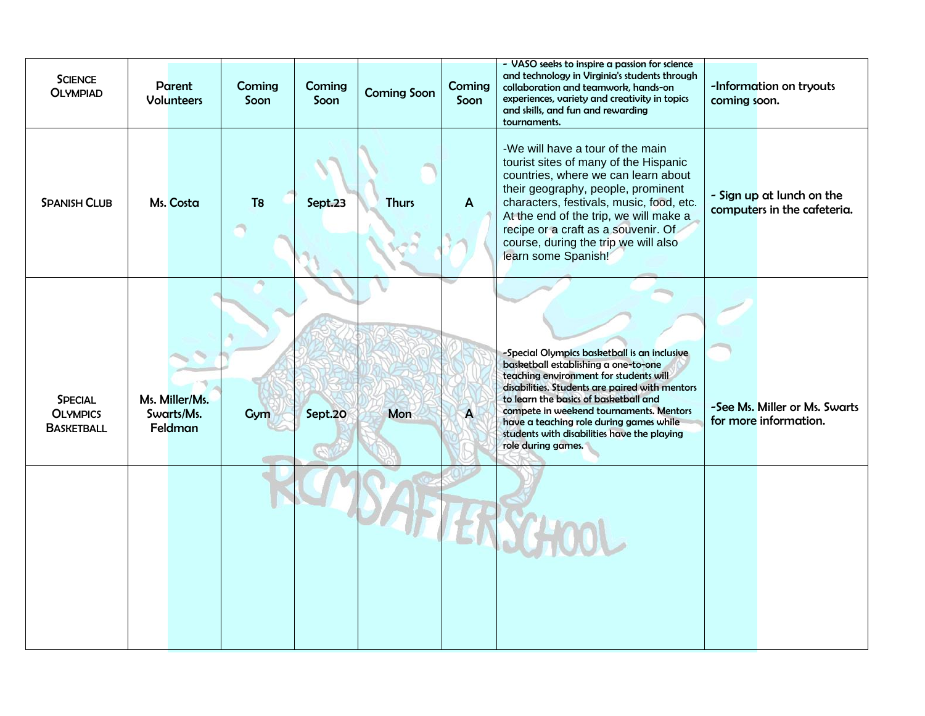| <b>SCIENCE</b><br><b>OLYMPIAD</b>                      | Parent<br><b>Volunteers</b>             | Coming<br>Soon | Coming<br>Soon | <b>Coming Soon</b> | Coming<br>Soon | - VASO seeks to inspire a passion for science<br>and technology in Virginia's students through<br>collaboration and teamwork, hands-on<br>experiences, variety and creativity in topics<br>and skills, and fun and rewarding<br>tournaments.                                                                                                                                         | coming soon. | -Information on tryouts                                  |
|--------------------------------------------------------|-----------------------------------------|----------------|----------------|--------------------|----------------|--------------------------------------------------------------------------------------------------------------------------------------------------------------------------------------------------------------------------------------------------------------------------------------------------------------------------------------------------------------------------------------|--------------|----------------------------------------------------------|
| <b>SPANISH CLUB</b>                                    | Ms. Costa                               | T <sub>8</sub> | Sept.23        | <b>Thurs</b>       | $\mathbf{A}$   | -We will have a tour of the main<br>tourist sites of many of the Hispanic<br>countries, where we can learn about<br>their geography, people, prominent<br>characters, festivals, music, food, etc.<br>At the end of the trip, we will make a<br>recipe or a craft as a souvenir. Of<br>course, during the trip we will also<br>learn some Spanish!                                   |              | - Sign up at lunch on the<br>computers in the cafeteria. |
| <b>SPECIAL</b><br><b>OLYMPICS</b><br><b>BASKETBALL</b> | Ms. Miller/Ms.<br>Swarts/Ms.<br>Feldman | Gym            | Sept.20        | Mon                | $\overline{A}$ | -Special Olympics basketball is an inclusive<br>basketball establishing a one-to-one<br>teaching environment for students will<br>disabilities. Students are paired with mentors<br>to learn the basics of basketball and<br>compete in weekend tournaments. Mentors<br>have a teaching role during games while<br>students with disabilities have the playing<br>role during games. |              | -See Ms. Miller or Ms. Swarts<br>for more information.   |
|                                                        |                                         |                |                |                    |                |                                                                                                                                                                                                                                                                                                                                                                                      |              |                                                          |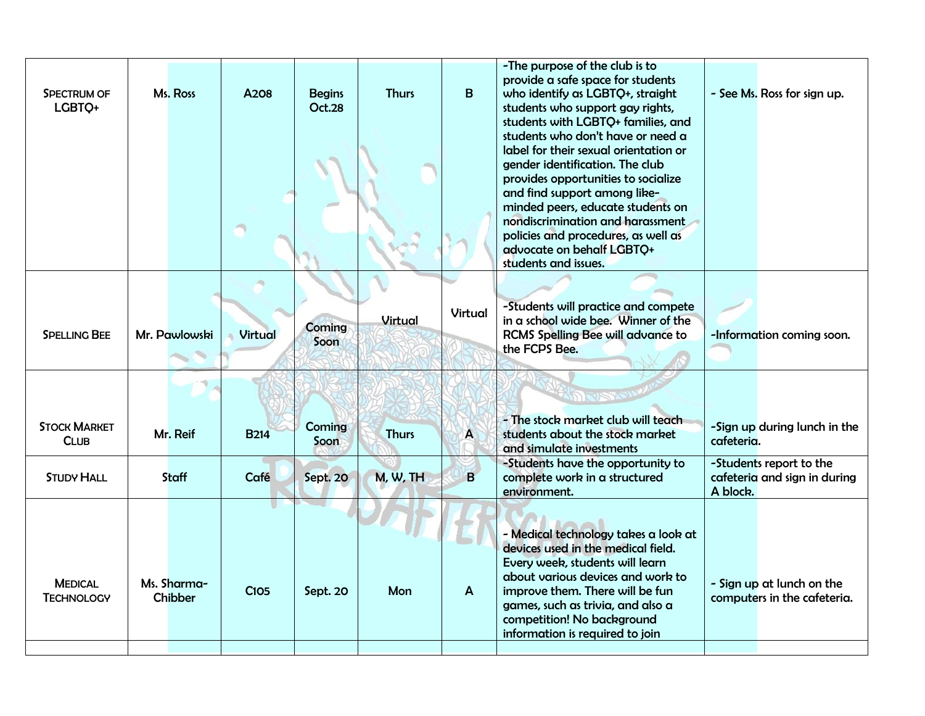| SPECTRUM OF<br>LGBTQ+               | Ms. Ross                      | A208           | <b>Begins</b><br><b>Oct.28</b> | <b>Thurs</b> | B              | -The purpose of the club is to<br>provide a safe space for students<br>who identify as LGBTQ+, straight<br>students who support gay rights,<br>students with LGBTQ+ families, and<br>students who don't have or need a<br>label for their sexual orientation or<br>gender identification. The club<br>provides opportunities to socialize<br>and find support among like-<br>minded peers, educate students on<br>nondiscrimination and harassment<br>policies and procedures, as well as<br>advocate on behalf LGBTQ+<br>students and issues. | - See Ms. Ross for sign up.                                         |
|-------------------------------------|-------------------------------|----------------|--------------------------------|--------------|----------------|------------------------------------------------------------------------------------------------------------------------------------------------------------------------------------------------------------------------------------------------------------------------------------------------------------------------------------------------------------------------------------------------------------------------------------------------------------------------------------------------------------------------------------------------|---------------------------------------------------------------------|
| <b>SPELLING BEE</b>                 | Mr. Pawlowski                 | <b>Virtual</b> | Coming<br>Soon                 | Virtual      | <b>Virtual</b> | -Students will practice and compete<br>in a school wide bee. Winner of the<br><b>RCMS Spelling Bee will advance to</b><br>the FCPS Bee.                                                                                                                                                                                                                                                                                                                                                                                                        | -Information coming soon.                                           |
| <b>STOCK MARKET</b><br><b>CLUB</b>  | Mr. Reif                      | <b>B214</b>    | <b>Coming</b><br>Soon          | <b>Thurs</b> | $\mathbf{A}$   | DISTER<br>- The stock market club will teach<br>students about the stock market<br>and simulate investments                                                                                                                                                                                                                                                                                                                                                                                                                                    | -Sign up during lunch in the<br>cafeteria.                          |
| <b>STUDY HALL</b>                   | Staff                         | Café           | <b>Sept. 20</b>                | M, W, TH     | $\mathbf{B}$   | -Students have the opportunity to<br>complete work in a structured<br>environment.                                                                                                                                                                                                                                                                                                                                                                                                                                                             | -Students report to the<br>cafeteria and sign in during<br>A block. |
| <b>MEDICAL</b><br><b>TECHNOLOGY</b> | Ms. Sharma-<br><b>Chibber</b> | <b>C105</b>    | Sept. 20                       | Mon          | $\mathbf{A}$   | - Medical technology takes a look at<br>devices used in the medical field.<br>Every week, students will learn<br>about various devices and work to<br>improve them. There will be fun<br>games, such as trivia, and also a<br>competition! No background<br>information is required to join                                                                                                                                                                                                                                                    | - Sign up at lunch on the<br>computers in the cafeteria.            |